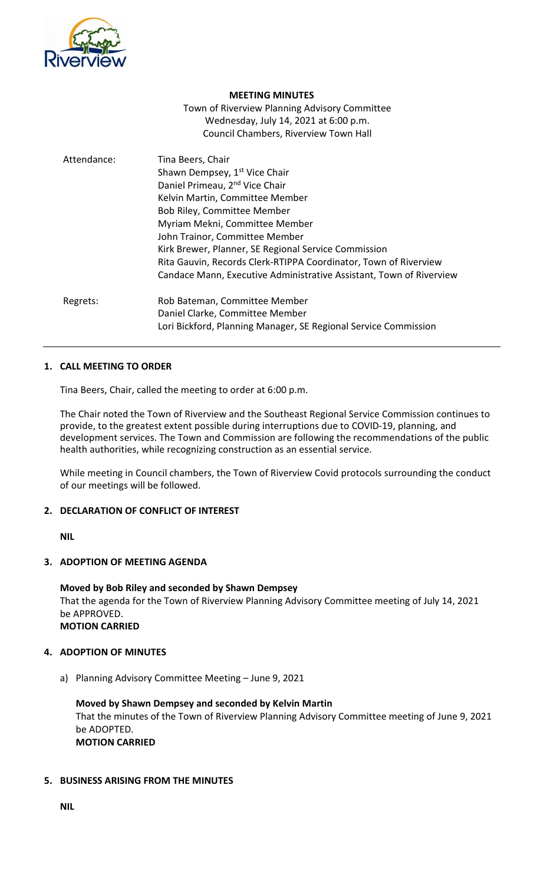

#### **MEETING MINUTES**

Town of Riverview Planning Advisory Committee Wednesday, July 14, 2021 at 6:00 p.m. Council Chambers, Riverview Town Hall

| Attendance: | Tina Beers, Chair<br>Shawn Dempsey, 1 <sup>st</sup> Vice Chair<br>Daniel Primeau, 2 <sup>nd</sup> Vice Chair<br>Kelvin Martin, Committee Member<br><b>Bob Riley, Committee Member</b><br>Myriam Mekni, Committee Member<br>John Trainor, Committee Member<br>Kirk Brewer, Planner, SE Regional Service Commission<br>Rita Gauvin, Records Clerk-RTIPPA Coordinator, Town of Riverview<br>Candace Mann, Executive Administrative Assistant, Town of Riverview |
|-------------|--------------------------------------------------------------------------------------------------------------------------------------------------------------------------------------------------------------------------------------------------------------------------------------------------------------------------------------------------------------------------------------------------------------------------------------------------------------|
| Regrets:    | Rob Bateman, Committee Member<br>Daniel Clarke, Committee Member<br>Lori Bickford, Planning Manager, SE Regional Service Commission                                                                                                                                                                                                                                                                                                                          |

### **1. CALL MEETING TO ORDER**

Tina Beers, Chair, called the meeting to order at 6:00 p.m.

The Chair noted the Town of Riverview and the Southeast Regional Service Commission continues to provide, to the greatest extent possible during interruptions due to COVID-19, planning, and development services. The Town and Commission are following the recommendations of the public health authorities, while recognizing construction as an essential service.

While meeting in Council chambers, the Town of Riverview Covid protocols surrounding the conduct of our meetings will be followed.

## **2. DECLARATION OF CONFLICT OF INTEREST**

**NIL**

#### **3. ADOPTION OF MEETING AGENDA**

**Moved by Bob Riley and seconded by Shawn Dempsey** That the agenda for the Town of Riverview Planning Advisory Committee meeting of July 14, 2021 be APPROVED. **MOTION CARRIED**

## **4. ADOPTION OF MINUTES**

a) Planning Advisory Committee Meeting – June 9, 2021

**Moved by Shawn Dempsey and seconded by Kelvin Martin** That the minutes of the Town of Riverview Planning Advisory Committee meeting of June 9, 2021 be ADOPTED. **MOTION CARRIED**

## **5. BUSINESS ARISING FROM THE MINUTES**

**NIL**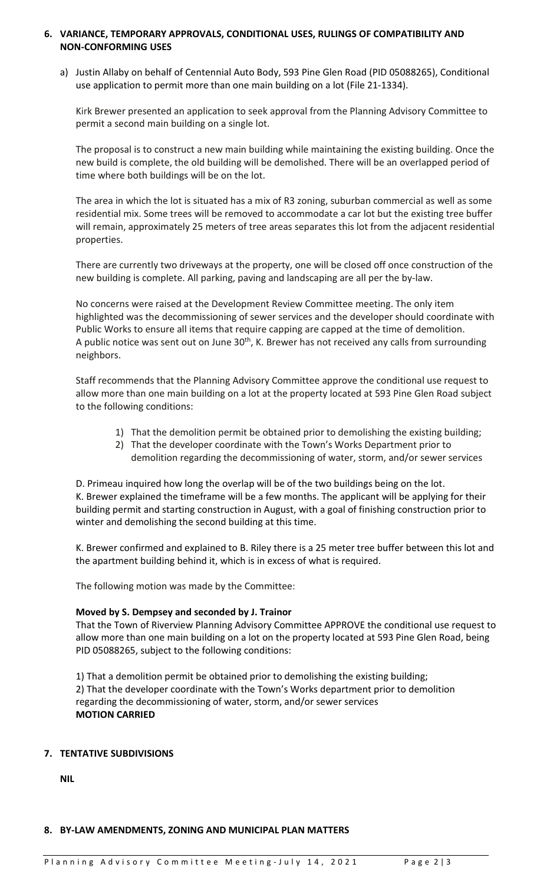## **6. VARIANCE, TEMPORARY APPROVALS, CONDITIONAL USES, RULINGS OF COMPATIBILITY AND NON-CONFORMING USES**

a) Justin Allaby on behalf of Centennial Auto Body, 593 Pine Glen Road (PID 05088265), Conditional use application to permit more than one main building on a lot (File 21-1334).

Kirk Brewer presented an application to seek approval from the Planning Advisory Committee to permit a second main building on a single lot.

The proposal is to construct a new main building while maintaining the existing building. Once the new build is complete, the old building will be demolished. There will be an overlapped period of time where both buildings will be on the lot.

The area in which the lot is situated has a mix of R3 zoning, suburban commercial as well as some residential mix. Some trees will be removed to accommodate a car lot but the existing tree buffer will remain, approximately 25 meters of tree areas separates this lot from the adjacent residential properties.

There are currently two driveways at the property, one will be closed off once construction of the new building is complete. All parking, paving and landscaping are all per the by-law.

No concerns were raised at the Development Review Committee meeting. The only item highlighted was the decommissioning of sewer services and the developer should coordinate with Public Works to ensure all items that require capping are capped at the time of demolition. A public notice was sent out on June 30<sup>th</sup>, K. Brewer has not received any calls from surrounding neighbors.

Staff recommends that the Planning Advisory Committee approve the conditional use request to allow more than one main building on a lot at the property located at 593 Pine Glen Road subject to the following conditions:

- 1) That the demolition permit be obtained prior to demolishing the existing building;
- 2) That the developer coordinate with the Town's Works Department prior to demolition regarding the decommissioning of water, storm, and/or sewer services

D. Primeau inquired how long the overlap will be of the two buildings being on the lot. K. Brewer explained the timeframe will be a few months. The applicant will be applying for their building permit and starting construction in August, with a goal of finishing construction prior to winter and demolishing the second building at this time.

K. Brewer confirmed and explained to B. Riley there is a 25 meter tree buffer between this lot and the apartment building behind it, which is in excess of what is required.

The following motion was made by the Committee:

## **Moved by S. Dempsey and seconded by J. Trainor**

That the Town of Riverview Planning Advisory Committee APPROVE the conditional use request to allow more than one main building on a lot on the property located at 593 Pine Glen Road, being PID 05088265, subject to the following conditions:

1) That a demolition permit be obtained prior to demolishing the existing building; 2) That the developer coordinate with the Town's Works department prior to demolition regarding the decommissioning of water, storm, and/or sewer services **MOTION CARRIED**

## **7. TENTATIVE SUBDIVISIONS**

**NIL**

## **8. BY-LAW AMENDMENTS, ZONING AND MUNICIPAL PLAN MATTERS**